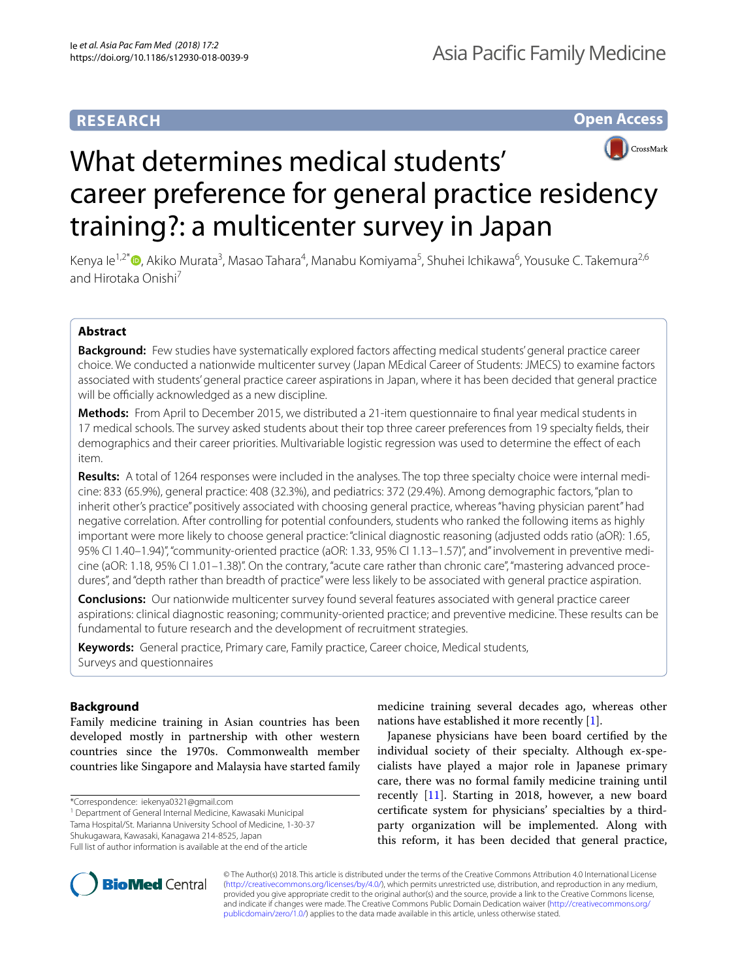# **RESEARCH**

**Open Access**



# What determines medical students' career preference for general practice residency training?: a multicenter survey in Japan

Kenya le<sup>1,2\*</sup>®[,](http://orcid.org/0000-0002-1387-0588) Akiko Murata<sup>3</sup>, Masao Tahara<sup>4</sup>, Manabu Komiyama<sup>5</sup>, Shuhei Ichikawa<sup>6</sup>, Yousuke C. Takemura<sup>2,6</sup> and Hirotaka Onishi<sup>7</sup>

# **Abstract**

**Background:** Few studies have systematically explored factors afecting medical students' general practice career choice. We conducted a nationwide multicenter survey (Japan MEdical Career of Students: JMECS) to examine factors associated with students' general practice career aspirations in Japan, where it has been decided that general practice will be officially acknowledged as a new discipline.

**Methods:** From April to December 2015, we distributed a 21-item questionnaire to fnal year medical students in 17 medical schools. The survey asked students about their top three career preferences from 19 specialty fields, their demographics and their career priorities. Multivariable logistic regression was used to determine the efect of each item.

**Results:** A total of 1264 responses were included in the analyses. The top three specialty choice were internal medicine: 833 (65.9%), general practice: 408 (32.3%), and pediatrics: 372 (29.4%). Among demographic factors, "plan to inherit other's practice" positively associated with choosing general practice, whereas "having physician parent" had negative correlation. After controlling for potential confounders, students who ranked the following items as highly important were more likely to choose general practice: "clinical diagnostic reasoning (adjusted odds ratio (aOR): 1.65, 95% CI 1.40–1.94)", "community-oriented practice (aOR: 1.33, 95% CI 1.13–1.57)", and" involvement in preventive medicine (aOR: 1.18, 95% CI 1.01–1.38)". On the contrary, "acute care rather than chronic care", "mastering advanced procedures", and "depth rather than breadth of practice" were less likely to be associated with general practice aspiration.

**Conclusions:** Our nationwide multicenter survey found several features associated with general practice career aspirations: clinical diagnostic reasoning; community-oriented practice; and preventive medicine. These results can be fundamental to future research and the development of recruitment strategies.

**Keywords:** General practice, Primary care, Family practice, Career choice, Medical students, Surveys and questionnaires

# **Background**

Family medicine training in Asian countries has been developed mostly in partnership with other western countries since the 1970s. Commonwealth member countries like Singapore and Malaysia have started family

<sup>1</sup> Department of General Internal Medicine, Kawasaki Municipal

Tama Hospital/St. Marianna University School of Medicine, 1-30-37

Shukugawara, Kawasaki, Kanagawa 214-8525, Japan

medicine training several decades ago, whereas other nations have established it more recently [\[1](#page-5-0)].

Japanese physicians have been board certifed by the individual society of their specialty. Although ex-specialists have played a major role in Japanese primary care, there was no formal family medicine training until recently [\[11](#page-5-1)]. Starting in 2018, however, a new board certifcate system for physicians' specialties by a thirdparty organization will be implemented. Along with this reform, it has been decided that general practice,



© The Author(s) 2018. This article is distributed under the terms of the Creative Commons Attribution 4.0 International License [\(http://creativecommons.org/licenses/by/4.0/\)](http://creativecommons.org/licenses/by/4.0/), which permits unrestricted use, distribution, and reproduction in any medium, provided you give appropriate credit to the original author(s) and the source, provide a link to the Creative Commons license, and indicate if changes were made. The Creative Commons Public Domain Dedication waiver ([http://creativecommons.org/](http://creativecommons.org/publicdomain/zero/1.0/) [publicdomain/zero/1.0/](http://creativecommons.org/publicdomain/zero/1.0/)) applies to the data made available in this article, unless otherwise stated.

<sup>\*</sup>Correspondence: iekenya0321@gmail.com

Full list of author information is available at the end of the article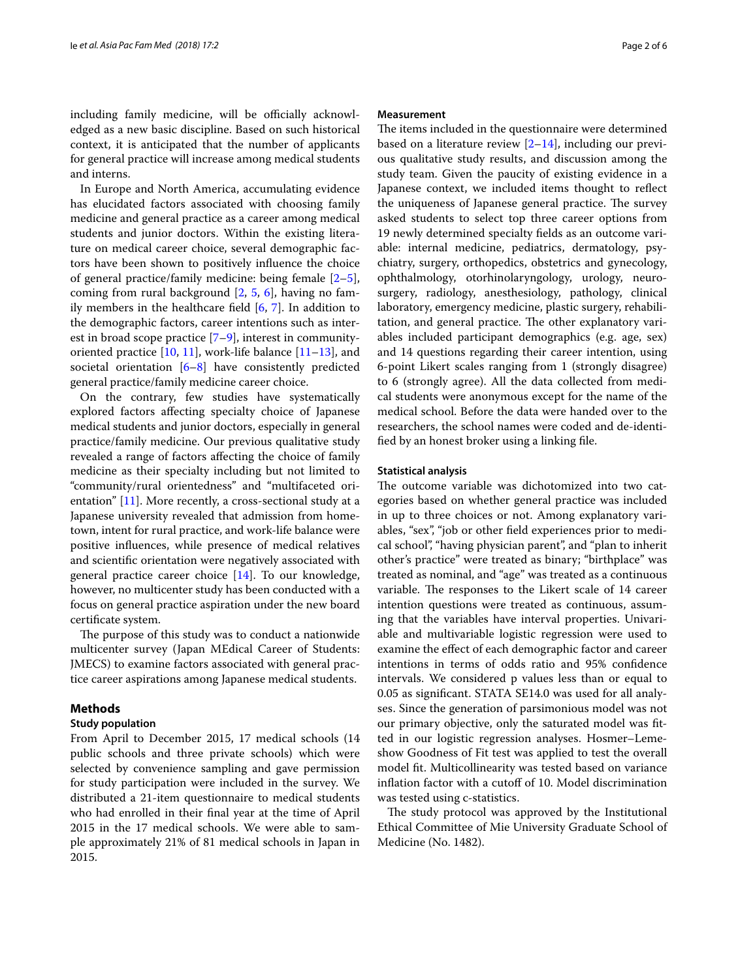including family medicine, will be officially acknowledged as a new basic discipline. Based on such historical context, it is anticipated that the number of applicants for general practice will increase among medical students and interns.

In Europe and North America, accumulating evidence has elucidated factors associated with choosing family medicine and general practice as a career among medical students and junior doctors. Within the existing literature on medical career choice, several demographic factors have been shown to positively infuence the choice of general practice/family medicine: being female [\[2](#page-5-2)[–5](#page-5-3)], coming from rural background [\[2](#page-5-2), [5,](#page-5-3) [6](#page-5-4)], having no family members in the healthcare feld [[6,](#page-5-4) [7](#page-5-5)]. In addition to the demographic factors, career intentions such as interest in broad scope practice [[7–](#page-5-5)[9\]](#page-5-6), interest in communityoriented practice [[10](#page-5-7), [11](#page-5-1)], work-life balance [[11](#page-5-1)[–13](#page-5-8)], and societal orientation [\[6–](#page-5-4)[8\]](#page-5-9) have consistently predicted general practice/family medicine career choice.

On the contrary, few studies have systematically explored factors afecting specialty choice of Japanese medical students and junior doctors, especially in general practice/family medicine. Our previous qualitative study revealed a range of factors afecting the choice of family medicine as their specialty including but not limited to "community/rural orientedness" and "multifaceted orientation" [[11\]](#page-5-1). More recently, a cross-sectional study at a Japanese university revealed that admission from hometown, intent for rural practice, and work-life balance were positive infuences, while presence of medical relatives and scientifc orientation were negatively associated with general practice career choice [\[14](#page-5-10)]. To our knowledge, however, no multicenter study has been conducted with a focus on general practice aspiration under the new board certifcate system.

The purpose of this study was to conduct a nationwide multicenter survey (Japan MEdical Career of Students: JMECS) to examine factors associated with general practice career aspirations among Japanese medical students.

# **Methods**

# **Study population**

From April to December 2015, 17 medical schools (14 public schools and three private schools) which were selected by convenience sampling and gave permission for study participation were included in the survey. We distributed a 21-item questionnaire to medical students who had enrolled in their fnal year at the time of April 2015 in the 17 medical schools. We were able to sample approximately 21% of 81 medical schools in Japan in 2015.

## **Measurement**

The items included in the questionnaire were determined based on a literature review  $[2-14]$  $[2-14]$ , including our previous qualitative study results, and discussion among the study team. Given the paucity of existing evidence in a Japanese context, we included items thought to refect the uniqueness of Japanese general practice. The survey asked students to select top three career options from 19 newly determined specialty felds as an outcome variable: internal medicine, pediatrics, dermatology, psychiatry, surgery, orthopedics, obstetrics and gynecology, ophthalmology, otorhinolaryngology, urology, neurosurgery, radiology, anesthesiology, pathology, clinical laboratory, emergency medicine, plastic surgery, rehabilitation, and general practice. The other explanatory variables included participant demographics (e.g. age, sex) and 14 questions regarding their career intention, using 6-point Likert scales ranging from 1 (strongly disagree) to 6 (strongly agree). All the data collected from medical students were anonymous except for the name of the medical school. Before the data were handed over to the researchers, the school names were coded and de-identifed by an honest broker using a linking fle.

## **Statistical analysis**

The outcome variable was dichotomized into two categories based on whether general practice was included in up to three choices or not. Among explanatory variables, "sex", "job or other feld experiences prior to medical school", "having physician parent", and "plan to inherit other's practice" were treated as binary; "birthplace" was treated as nominal, and "age" was treated as a continuous variable. The responses to the Likert scale of 14 career intention questions were treated as continuous, assuming that the variables have interval properties. Univariable and multivariable logistic regression were used to examine the efect of each demographic factor and career intentions in terms of odds ratio and 95% confdence intervals. We considered p values less than or equal to 0.05 as signifcant. STATA SE14.0 was used for all analyses. Since the generation of parsimonious model was not our primary objective, only the saturated model was ftted in our logistic regression analyses. Hosmer–Lemeshow Goodness of Fit test was applied to test the overall model ft. Multicollinearity was tested based on variance inflation factor with a cutoff of 10. Model discrimination was tested using c-statistics.

The study protocol was approved by the Institutional Ethical Committee of Mie University Graduate School of Medicine (No. 1482).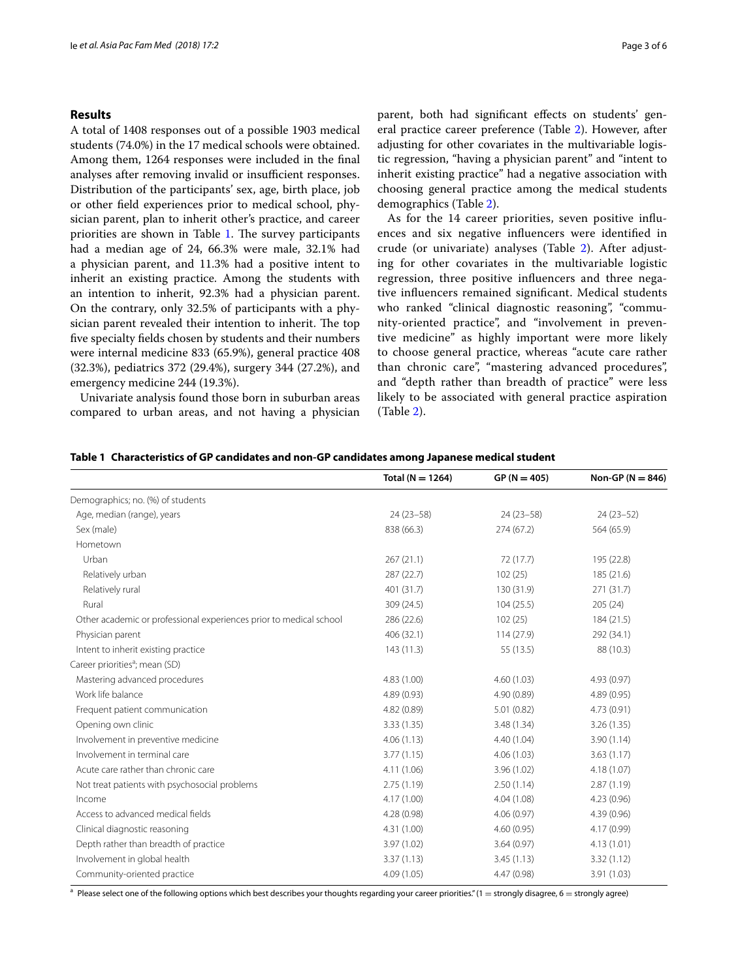# **Results**

A total of 1408 responses out of a possible 1903 medical students (74.0%) in the 17 medical schools were obtained. Among them, 1264 responses were included in the fnal analyses after removing invalid or insufficient responses. Distribution of the participants' sex, age, birth place, job or other feld experiences prior to medical school, physician parent, plan to inherit other's practice, and career priorities are shown in Table [1](#page-2-0). The survey participants had a median age of 24, 66.3% were male, 32.1% had a physician parent, and 11.3% had a positive intent to inherit an existing practice. Among the students with an intention to inherit, 92.3% had a physician parent. On the contrary, only 32.5% of participants with a physician parent revealed their intention to inherit. The top fve specialty felds chosen by students and their numbers were internal medicine 833 (65.9%), general practice 408 (32.3%), pediatrics 372 (29.4%), surgery 344 (27.2%), and emergency medicine 244 (19.3%).

Univariate analysis found those born in suburban areas compared to urban areas, and not having a physician parent, both had signifcant efects on students' general practice career preference (Table [2\)](#page-3-0). However, after adjusting for other covariates in the multivariable logistic regression, "having a physician parent" and "intent to inherit existing practice" had a negative association with choosing general practice among the medical students demographics (Table [2\)](#page-3-0).

As for the 14 career priorities, seven positive infuences and six negative infuencers were identifed in crude (or univariate) analyses (Table [2\)](#page-3-0). After adjusting for other covariates in the multivariable logistic regression, three positive infuencers and three negative infuencers remained signifcant. Medical students who ranked "clinical diagnostic reasoning", "community-oriented practice", and "involvement in preventive medicine" as highly important were more likely to choose general practice, whereas "acute care rather than chronic care", "mastering advanced procedures", and "depth rather than breadth of practice" were less likely to be associated with general practice aspiration (Table [2](#page-3-0)).

<span id="page-2-0"></span>

|  | Table 1  Characteristics of GP candidates and non-GP candidates among Japanese medical student |  |  |  |  |
|--|------------------------------------------------------------------------------------------------|--|--|--|--|
|--|------------------------------------------------------------------------------------------------|--|--|--|--|

|                                                                    | Total ( $N = 1264$ ) | $GP (N = 405)$ | Non-GP ( $N = 846$ ) |
|--------------------------------------------------------------------|----------------------|----------------|----------------------|
| Demographics; no. (%) of students                                  |                      |                |                      |
| Age, median (range), years                                         | $24(23 - 58)$        | $24(23-58)$    | $24(23-52)$          |
| Sex (male)                                                         | 838 (66.3)           | 274(67.2)      | 564 (65.9)           |
| Hometown                                                           |                      |                |                      |
| Urban                                                              | 267(21.1)            | 72(17.7)       | 195 (22.8)           |
| Relatively urban                                                   | 287(22.7)            | 102(25)        | 185 (21.6)           |
| Relatively rural                                                   | 401 (31.7)           | 130 (31.9)     | 271 (31.7)           |
| Rural                                                              | 309 (24.5)           | 104(25.5)      | 205 (24)             |
| Other academic or professional experiences prior to medical school | 286 (22.6)           | 102(25)        | 184(21.5)            |
| Physician parent                                                   | 406 (32.1)           | 114(27.9)      | 292 (34.1)           |
| Intent to inherit existing practice                                | 143 (11.3)           | 55 (13.5)      | 88 (10.3)            |
| Career priorities <sup>a</sup> ; mean (SD)                         |                      |                |                      |
| Mastering advanced procedures                                      | 4.83 (1.00)          | 4.60(1.03)     | 4.93(0.97)           |
| Work life balance                                                  | 4.89(0.93)           | 4.90 (0.89)    | 4.89(0.95)           |
| Frequent patient communication                                     | 4.82(0.89)           | 5.01(0.82)     | 4.73(0.91)           |
| Opening own clinic                                                 | 3.33 (1.35)          | 3.48 (1.34)    | 3.26(1.35)           |
| Involvement in preventive medicine                                 | 4.06(1.13)           | 4.40 (1.04)    | 3.90(1.14)           |
| Involvement in terminal care                                       | 3.77(1.15)           | 4.06(1.03)     | 3.63(1.17)           |
| Acute care rather than chronic care                                | 4.11(1.06)           | 3.96(1.02)     | 4.18 (1.07)          |
| Not treat patients with psychosocial problems                      | 2.75(1.19)           | 2.50(1.14)     | 2.87(1.19)           |
| Income                                                             | 4.17(1.00)           | 4.04(1.08)     | 4.23(0.96)           |
| Access to advanced medical fields                                  | 4.28(0.98)           | 4.06(0.97)     | 4.39(0.96)           |
| Clinical diagnostic reasoning                                      | 4.31 (1.00)          | 4.60(0.95)     | 4.17(0.99)           |
| Depth rather than breadth of practice                              | 3.97 (1.02)          | 3.64(0.97)     | 4.13(1.01)           |
| Involvement in global health                                       | 3.37(1.13)           | 3.45(1.13)     | 3.32(1.12)           |
| Community-oriented practice                                        | 4.09 (1.05)          | 4.47 (0.98)    | 3.91(1.03)           |

<sup>a</sup> Please select one of the following options which best describes your thoughts regarding your career priorities."  $(1 =$  strongly disagree, 6 = strongly agree)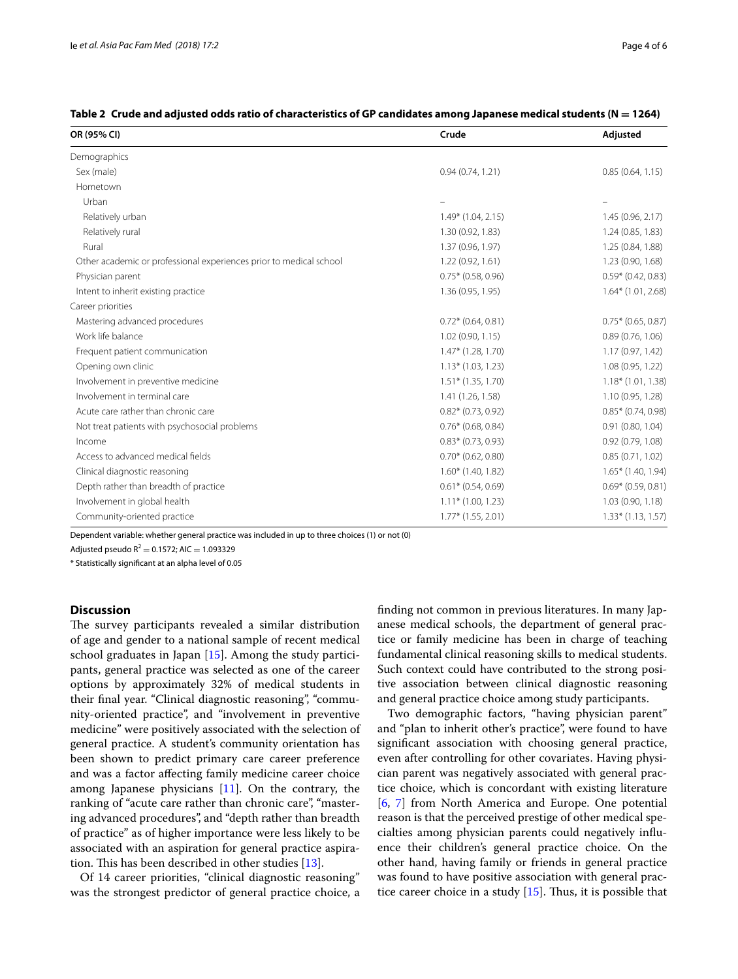| OR (95% CI)                                                        | Crude                | Adjusted             |  |
|--------------------------------------------------------------------|----------------------|----------------------|--|
| Demographics                                                       |                      |                      |  |
| Sex (male)                                                         | 0.94(0.74, 1.21)     | 0.85(0.64, 1.15)     |  |
| Hometown                                                           |                      |                      |  |
| Urban                                                              |                      |                      |  |
| Relatively urban                                                   | $1.49*$ (1.04, 2.15) | 1.45(0.96, 2.17)     |  |
| Relatively rural                                                   | 1.30 (0.92, 1.83)    | 1.24(0.85, 1.83)     |  |
| Rural                                                              | 1.37 (0.96, 1.97)    | 1.25 (0.84, 1.88)    |  |
| Other academic or professional experiences prior to medical school | 1.22(0.92, 1.61)     | 1.23(0.90, 1.68)     |  |
| Physician parent                                                   | $0.75*$ (0.58, 0.96) | $0.59*$ (0.42, 0.83) |  |
| Intent to inherit existing practice                                | 1.36 (0.95, 1.95)    | $1.64*$ (1.01, 2.68) |  |
| Career priorities                                                  |                      |                      |  |
| Mastering advanced procedures                                      | $0.72*$ (0.64, 0.81) | $0.75*$ (0.65, 0.87) |  |
| Work life balance                                                  | 1.02(0.90, 1.15)     | 0.89(0.76, 1.06)     |  |
| Frequent patient communication                                     | $1.47*$ (1.28, 1.70) | 1.17(0.97, 1.42)     |  |
| Opening own clinic                                                 | $1.13*(1.03, 1.23)$  | 1.08(0.95, 1.22)     |  |
| Involvement in preventive medicine                                 | $1.51*$ (1.35, 1.70) | $1.18*(1.01, 1.38)$  |  |
| Involvement in terminal care                                       | 1.41 (1.26, 1.58)    | 1.10(0.95, 1.28)     |  |
| Acute care rather than chronic care                                | $0.82*$ (0.73, 0.92) | $0.85*$ (0.74, 0.98) |  |
| Not treat patients with psychosocial problems                      | $0.76*$ (0.68, 0.84) | 0.91(0.80, 1.04)     |  |
| Income                                                             | $0.83*$ (0.73, 0.93) | 0.92(0.79, 1.08)     |  |
| Access to advanced medical fields                                  | $0.70*$ (0.62, 0.80) | 0.85(0.71, 1.02)     |  |
| Clinical diagnostic reasoning                                      | $1.60*$ (1.40, 1.82) | $1.65*$ (1.40, 1.94) |  |
| Depth rather than breadth of practice                              | $0.61*$ (0.54, 0.69) | $0.69*$ (0.59, 0.81) |  |
| Involvement in global health                                       | $1.11*$ (1.00, 1.23) | 1.03(0.90, 1.18)     |  |
| Community-oriented practice                                        | $1.77*$ (1.55, 2.01) | $1.33*$ (1.13, 1.57) |  |

## <span id="page-3-0"></span>**Table 2 Crude and adjusted odds ratio of characteristics of GP candidates among Japanese medical students (N = 1264)**

Dependent variable: whether general practice was included in up to three choices (1) or not (0)

Adjusted pseudo  $R^2 = 0.1572$ ; AIC = 1.093329

\* Statistically signifcant at an alpha level of 0.05

# **Discussion**

The survey participants revealed a similar distribution of age and gender to a national sample of recent medical school graduates in Japan [\[15\]](#page-5-11). Among the study participants, general practice was selected as one of the career options by approximately 32% of medical students in their fnal year. "Clinical diagnostic reasoning", "community-oriented practice", and "involvement in preventive medicine" were positively associated with the selection of general practice. A student's community orientation has been shown to predict primary care career preference and was a factor afecting family medicine career choice among Japanese physicians  $[11]$  $[11]$ . On the contrary, the ranking of "acute care rather than chronic care", "mastering advanced procedures", and "depth rather than breadth of practice" as of higher importance were less likely to be associated with an aspiration for general practice aspiration. This has been described in other studies  $[13]$  $[13]$ .

Of 14 career priorities, "clinical diagnostic reasoning" was the strongest predictor of general practice choice, a fnding not common in previous literatures. In many Japanese medical schools, the department of general practice or family medicine has been in charge of teaching fundamental clinical reasoning skills to medical students. Such context could have contributed to the strong positive association between clinical diagnostic reasoning and general practice choice among study participants.

Two demographic factors, "having physician parent" and "plan to inherit other's practice", were found to have signifcant association with choosing general practice, even after controlling for other covariates. Having physician parent was negatively associated with general practice choice, which is concordant with existing literature [[6,](#page-5-4) [7](#page-5-5)] from North America and Europe. One potential reason is that the perceived prestige of other medical specialties among physician parents could negatively infuence their children's general practice choice. On the other hand, having family or friends in general practice was found to have positive association with general practice career choice in a study  $[15]$  $[15]$  $[15]$ . Thus, it is possible that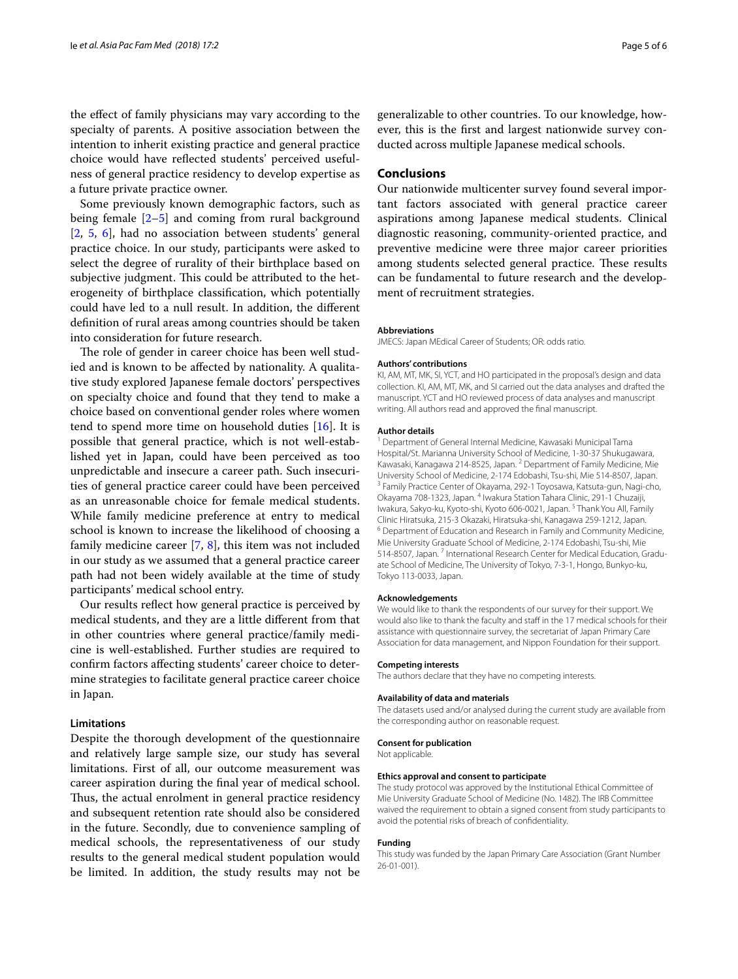the efect of family physicians may vary according to the specialty of parents. A positive association between the intention to inherit existing practice and general practice choice would have refected students' perceived usefulness of general practice residency to develop expertise as a future private practice owner.

Some previously known demographic factors, such as being female [\[2](#page-5-2)[–5](#page-5-3)] and coming from rural background [[2,](#page-5-2) [5](#page-5-3), [6\]](#page-5-4), had no association between students' general practice choice. In our study, participants were asked to select the degree of rurality of their birthplace based on subjective judgment. This could be attributed to the heterogeneity of birthplace classifcation, which potentially could have led to a null result. In addition, the diferent defnition of rural areas among countries should be taken into consideration for future research.

The role of gender in career choice has been well studied and is known to be afected by nationality. A qualitative study explored Japanese female doctors' perspectives on specialty choice and found that they tend to make a choice based on conventional gender roles where women tend to spend more time on household duties [[16\]](#page-5-12). It is possible that general practice, which is not well-established yet in Japan, could have been perceived as too unpredictable and insecure a career path. Such insecurities of general practice career could have been perceived as an unreasonable choice for female medical students. While family medicine preference at entry to medical school is known to increase the likelihood of choosing a family medicine career [\[7](#page-5-5), [8](#page-5-9)], this item was not included in our study as we assumed that a general practice career path had not been widely available at the time of study participants' medical school entry.

Our results refect how general practice is perceived by medical students, and they are a little diferent from that in other countries where general practice/family medicine is well-established. Further studies are required to confrm factors afecting students' career choice to determine strategies to facilitate general practice career choice in Japan.

### **Limitations**

Despite the thorough development of the questionnaire and relatively large sample size, our study has several limitations. First of all, our outcome measurement was career aspiration during the fnal year of medical school. Thus, the actual enrolment in general practice residency and subsequent retention rate should also be considered in the future. Secondly, due to convenience sampling of medical schools, the representativeness of our study results to the general medical student population would be limited. In addition, the study results may not be

generalizable to other countries. To our knowledge, however, this is the frst and largest nationwide survey conducted across multiple Japanese medical schools.

# **Conclusions**

Our nationwide multicenter survey found several important factors associated with general practice career aspirations among Japanese medical students. Clinical diagnostic reasoning, community-oriented practice, and preventive medicine were three major career priorities among students selected general practice. These results can be fundamental to future research and the development of recruitment strategies.

#### **Abbreviations**

JMECS: Japan MEdical Career of Students; OR: odds ratio.

#### **Authors' contributions**

KI, AM, MT, MK, SI, YCT, and HO participated in the proposal's design and data collection. KI, AM, MT, MK, and SI carried out the data analyses and drafted the manuscript. YCT and HO reviewed process of data analyses and manuscript writing. All authors read and approved the fnal manuscript.

#### **Author details**

<sup>1</sup> Department of General Internal Medicine, Kawasaki Municipal Tama Hospital/St. Marianna University School of Medicine, 1-30-37 Shukugawara, Kawasaki, Kanagawa 214-8525, Japan. <sup>2</sup> Department of Family Medicine, Mie University School of Medicine, 2-174 Edobashi, Tsu-shi, Mie 514-8507, Japan.<br><sup>3</sup> Family Practice Center of Okayama, 292-1 Toyosawa, Katsuta-gun, Nagi-cho, Okayama 708-1323, Japan. 4 Iwakura Station Tahara Clinic, 291-1 Chuzaiji, Iwakura, Sakyo-ku, Kyoto-shi, Kyoto 606-0021, Japan. 5 Thank You All, Family Clinic Hiratsuka, 215-3 Okazaki, Hiratsuka-shi, Kanagawa 259-1212, Japan.<br><sup>6</sup> Department of Education and Research in Family and Community Medicine, Mie University Graduate School of Medicine, 2-174 Edobashi, Tsu-shi, Mie 514-8507, Japan.<sup>7</sup> International Research Center for Medical Education, Graduate School of Medicine, The University of Tokyo, 7-3-1, Hongo, Bunkyo-ku, Tokyo 113-0033, Japan.

#### **Acknowledgements**

We would like to thank the respondents of our survey for their support. We would also like to thank the faculty and staff in the 17 medical schools for their assistance with questionnaire survey, the secretariat of Japan Primary Care Association for data management, and Nippon Foundation for their support.

#### **Competing interests**

The authors declare that they have no competing interests.

#### **Availability of data and materials**

The datasets used and/or analysed during the current study are available from the corresponding author on reasonable request.

# **Consent for publication**

Not applicable.

#### **Ethics approval and consent to participate**

The study protocol was approved by the Institutional Ethical Committee of Mie University Graduate School of Medicine (No. 1482). The IRB Committee waived the requirement to obtain a signed consent from study participants to avoid the potential risks of breach of confdentiality.

#### **Funding**

This study was funded by the Japan Primary Care Association (Grant Number 26-01-001).